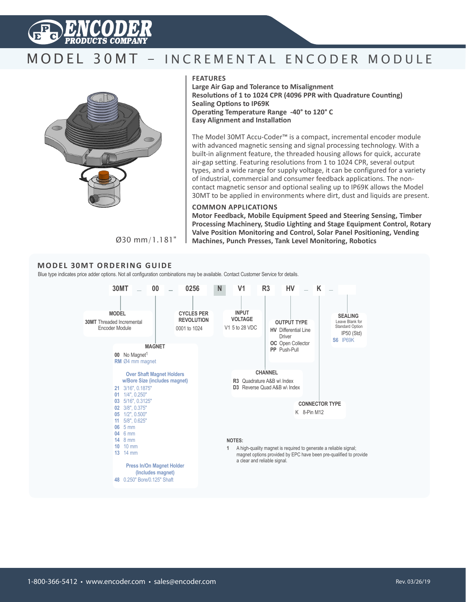

# MODEL 30MT - INCREMENTAL ENCODER MODULE



**Features**

**Large Air Gap and Tolerance to Misalignment Resolutions of 1 to 1024 CPR (4096 PPR with Quadrature Counting) Sealing Options to IP69K Operating Temperature Range -40° to 120° C Easy Alignment and Installation**

The Model 30MT Accu-Coder™ is a compact, incremental encoder module with advanced magnetic sensing and signal processing technology. With a built-in alignment feature, the threaded housing allows for quick, accurate air-gap setting. Featuring resolutions from 1 to 1024 CPR, several output types, and a wide range for supply voltage, it can be configured for a variety of industrial, commercial and consumer feedback applications. The noncontact magnetic sensor and optional sealing up to IP69K allows the Model 30MT to be applied in environments where dirt, dust and liquids are present.

#### **Common Applications**

**Motor Feedback, Mobile Equipment Speed and Steering Sensing, Timber Processing Machinery, Studio Lighting and Stage Equipment Control, Rotary Valve Position Monitoring and Control, Solar Panel Positioning, Vending Machines, Punch Presses, Tank Level Monitoring, Robotics**

Ø30 mm/1.181"

### **Model 30mt Ordering Guide**

Blue type indicates price adder options. Not all configuration combinations may be available. Contact Customer Service for details.

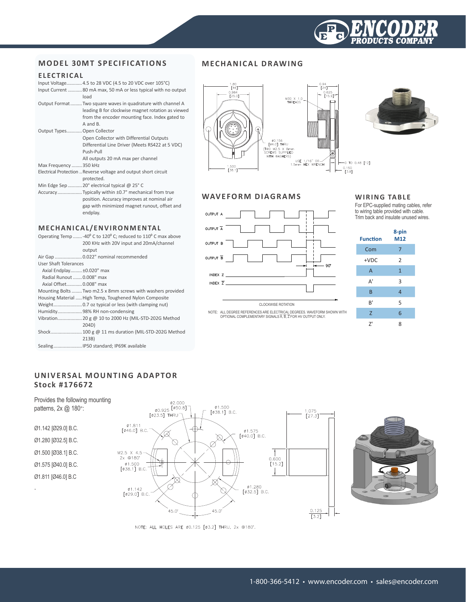

## **Model 30MT Speci f ications**

#### **E lectrical**

|                             | Input Voltage 4.5 to 28 VDC (4.5 to 20 VDC over 105°C)                                                                                                                         |
|-----------------------------|--------------------------------------------------------------------------------------------------------------------------------------------------------------------------------|
|                             | Input Current  80 mA max, 50 mA or less typical with no output<br>load                                                                                                         |
|                             | Output Format Two square waves in quadrature with channel A<br>leading B for clockwise magnet rotation as viewed<br>from the encoder mounting face. Index gated to<br>A and B. |
| Output Types Open Collector |                                                                                                                                                                                |
|                             | Open Collector with Differential Outputs                                                                                                                                       |
|                             | Differential Line Driver (Meets RS422 at 5 VDC)                                                                                                                                |
|                             | Push-Pull                                                                                                                                                                      |
|                             | All outputs 20 mA max per channel                                                                                                                                              |
| Max Frequency  350 kHz      |                                                                                                                                                                                |
|                             | Electrical Protection  Reverse voltage and output short circuit<br>protected.                                                                                                  |
|                             | Min Edge Sep  20° electrical typical @ 25° C                                                                                                                                   |
|                             | AccuracyTypically within ±0.7° mechanical from true<br>position. Accuracy improves at nominal air<br>gap with minimized magnet runout, offset and<br>endplay.                  |

#### **Mechanical/Environ mental**

| Operating Temp  -40° C to 120° C; reduced to 110° C max above |
|---------------------------------------------------------------|
| 200 KHz with 20V input and 20mA/channel                       |
| output                                                        |
|                                                               |
| User Shaft Tolerances                                         |
| Axial Endplay ±0.020" max                                     |
| Radial Runout  0.008" max                                     |
| Axial Offset 0.008" max                                       |
| Mounting Bolts  Two m2.5 x 8mm screws with washers provided   |
| Housing Material  High Temp, Toughened Nylon Composite        |
|                                                               |
| Humidity98% RH non-condensing                                 |
|                                                               |
| 204D)                                                         |
| Shock 100 g @ 11 ms duration (MIL-STD-202G Method             |
| 213B)                                                         |
| Sealing IP50 standard; IP69K available                        |
|                                                               |

## **Mechanical drawin g**



#### **WAVEFORM DIAGRAMS WIRING TABLE**



NOTE: ALL DEGREE REFERENCES ARE ELECTRICAL DEGREES. WAVEFORM SHOWN WITH OPTIONAL COMPLEMENTARY SIGNALS  $\overline{A}$ ,  $\overline{B}$ ,  $\overline{Z}$  for hV output only.

For EPC-supplied mating cables, refer

to wiring table provided with cable. Trim back and insulate unused wires.



## **u niversal mou nting adaptor Stock #176672**

Provides the following mounting patterns, 2x @ 180°:

Ø1.142 [Ø29.0] B.C.

Ø1.280 [Ø32.5] B.C.

Ø1.500 [Ø38.1] B.C.

Ø1.575 [Ø40.0] B.C.

Ø1.811 [Ø46.0] B.C

.